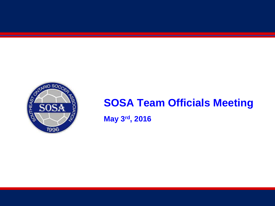

#### **SOSA Team Officials Meeting**

**May 3rd, 2016**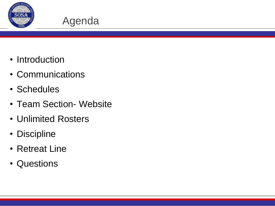

#### Agenda

- Introduction
- Communications
- Schedules
- Team Section- Website
- Unlimited Rosters
- Discipline
- Retreat Line
- Questions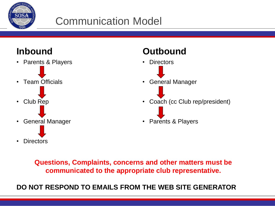

#### Communication Model

#### **Inbound**

• Parents & Players • Team Officials • Club Rep • General Manager • Directors

**Outbound**



**Questions, Complaints, concerns and other matters must be communicated to the appropriate club representative.**

**DO NOT RESPOND TO EMAILS FROM THE WEB SITE GENERATOR**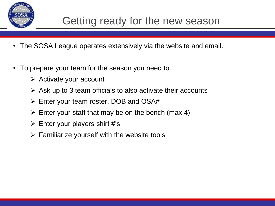

#### Getting ready for the new season

- The SOSA League operates extensively via the website and email.
- To prepare your team for the season you need to:
	- $\triangleright$  Activate your account
	- $\triangleright$  Ask up to 3 team officials to also activate their accounts
	- Enter your team roster, DOB and OSA#
	- $\triangleright$  Enter your staff that may be on the bench (max 4)
	- $\triangleright$  Enter your players shirt #'s
	- $\triangleright$  Familiarize yourself with the website tools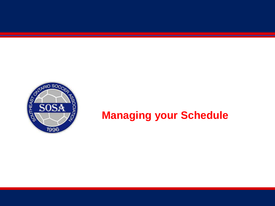

#### **Managing your Schedule**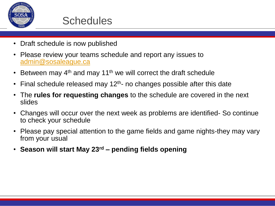

- Draft schedule is now published
- Please review your teams schedule and report any issues to [admin@sosaleague.ca](mailto:admin@sosaleague.ca)
- Between may  $4<sup>th</sup>$  and may 11<sup>th</sup> we will correct the draft schedule
- Final schedule released may  $12<sup>th</sup>$  no changes possible after this date
- The **rules for requesting changes** to the schedule are covered in the next slides
- Changes will occur over the next week as problems are identified- So continue to check your schedule
- Please pay special attention to the game fields and game nights-they may vary from your usual
- **Season will start May 23rd – pending fields opening**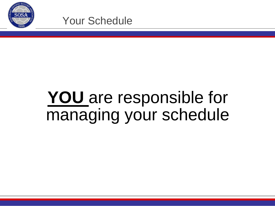

## **YOU** are responsible for managing your schedule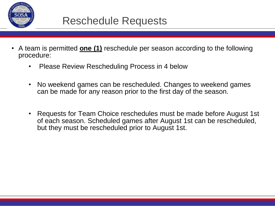

- A team is permitted **one (1)** reschedule per season according to the following procedure:
	- Please Review Rescheduling Process in 4 below
	- No weekend games can be rescheduled. Changes to weekend games can be made for any reason prior to the first day of the season.
	- Requests for Team Choice reschedules must be made before August 1st of each season. Scheduled games after August 1st can be rescheduled, but they must be rescheduled prior to August 1st.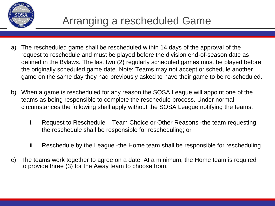

- a) The rescheduled game shall be rescheduled within 14 days of the approval of the request to reschedule and must be played before the division end-of-season date as defined in the Bylaws. The last two (2) regularly scheduled games must be played before the originally scheduled game date. Note: Teams may not accept or schedule another game on the same day they had previously asked to have their game to be re-scheduled.
- b) When a game is rescheduled for any reason the SOSA League will appoint one of the teams as being responsible to complete the reschedule process. Under normal circumstances the following shall apply without the SOSA League notifying the teams:
	- i. Request to Reschedule Team Choice or Other Reasons -the team requesting the reschedule shall be responsible for rescheduling; or
	- ii. Reschedule by the League -the Home team shall be responsible for rescheduling.
- c) The teams work together to agree on a date. At a minimum, the Home team is required to provide three (3) for the Away team to choose from.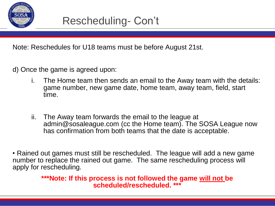

Note: Reschedules for U18 teams must be before August 21st.

d) Once the game is agreed upon:

- i. The Home team then sends an email to the Away team with the details: game number, new game date, home team, away team, field, start time.
- ii. The Away team forwards the email to the league at admin@sosaleague.com (cc the Home team). The SOSA League now has confirmation from both teams that the date is acceptable.

• Rained out games must still be rescheduled. The league will add a new game number to replace the rained out game. The same rescheduling process will apply for rescheduling.

> **\*\*\*Note: If this process is not followed the game will not be scheduled/rescheduled. \*\*\***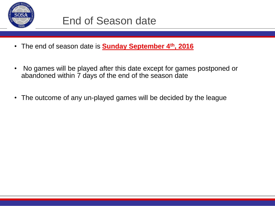

- The end of season date is **Sunday September 4th, 2016**
- No games will be played after this date except for games postponed or abandoned within 7 days of the end of the season date
- The outcome of any un-played games will be decided by the league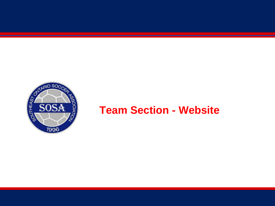

#### **Team Section - Website**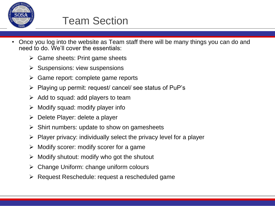

#### Team Section

- Once you log into the website as Team staff there will be many things you can do and need to do. We'll cover the essentials:
	- $\triangleright$  Game sheets: Print game sheets
	- $\triangleright$  Suspensions: view suspensions
	- $\triangleright$  Game report: complete game reports
	- Playing up permit: request/ cancel/ see status of PuP's
	- $\triangleright$  Add to squad: add players to team
	- Modify squad: modify player info
	- $\triangleright$  Delete Player: delete a player
	- $\triangleright$  Shirt numbers: update to show on gamesheets
	- Player privacy: individually select the privacy level for a player
	- $\triangleright$  Modify scorer: modify scorer for a game
	- $\triangleright$  Modify shutout: modify who got the shutout
	- $\triangleright$  Change Uniform: change uniform colours
	- Request Reschedule: request a rescheduled game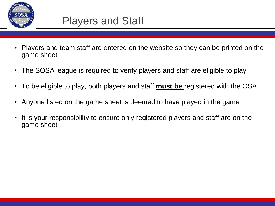

- Players and team staff are entered on the website so they can be printed on the game sheet
- The SOSA league is required to verify players and staff are eligible to play
- To be eligible to play, both players and staff **must be** registered with the OSA
- Anyone listed on the game sheet is deemed to have played in the game
- It is your responsibility to ensure only registered players and staff are on the game sheet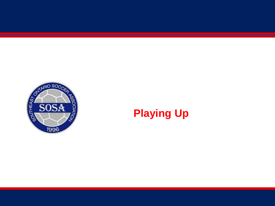

#### **Playing Up**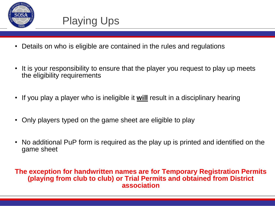

## Playing Ups

- Details on who is eligible are contained in the rules and regulations
- It is your responsibility to ensure that the player you request to play up meets the eligibility requirements
- If you play a player who is ineligible it **will** result in a disciplinary hearing
- Only players typed on the game sheet are eligible to play
- No additional PuP form is required as the play up is printed and identified on the game sheet

#### **The exception for handwritten names are for Temporary Registration Permits (playing from club to club) or Trial Permits and obtained from District association**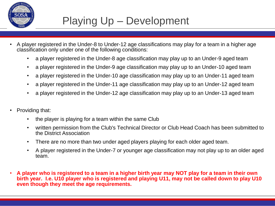

#### Playing Up – Development

- A player registered in the Under-8 to Under-12 age classifications may play for a team in a higher age classification only under one of the following conditions:
	- a player registered in the Under-8 age classification may play up to an Under-9 aged team
	- a player registered in the Under-9 age classification may play up to an Under-10 aged team
	- a player registered in the Under-10 age classification may play up to an Under-11 aged team
	- a player registered in the Under-11 age classification may play up to an Under-12 aged team
	- a player registered in the Under-12 age classification may play up to an Under-13 aged team
- Providing that:
	- the player is playing for a team within the same Club
	- written permission from the Club's Technical Director or Club Head Coach has been submitted to the District Association
	- There are no more than two under aged players playing for each older aged team.
	- A player registered in the Under-7 or younger age classification may not play up to an older aged team.
- **A player who is registered to a team in a higher birth year may NOT play for a team in their own birth year. I.e. U10 player who is registered and playing U11, may not be called down to play U10 even though they meet the age requirements.**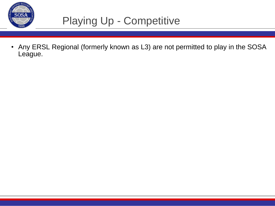

### Playing Up - Competitive

• Any ERSL Regional (formerly known as L3) are not permitted to play in the SOSA League.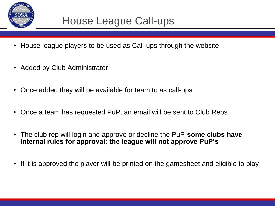

#### House League Call-ups

- House league players to be used as Call-ups through the website
- Added by Club Administrator
- Once added they will be available for team to as call-ups
- Once a team has requested PuP, an email will be sent to Club Reps
- The club rep will login and approve or decline the PuP-**some clubs have internal rules for approval; the league will not approve PuP's**
- If it is approved the player will be printed on the gamesheet and eligible to play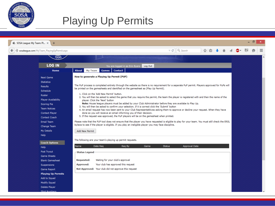

| SOSA League: My Team: Pl X<br>$\ddot{}$    |                                                                                                                                                                              |                                                                                                                                                                                                                                                                                                                                                    |                      |   |   |  |  |  |  |  | n |  |
|--------------------------------------------|------------------------------------------------------------------------------------------------------------------------------------------------------------------------------|----------------------------------------------------------------------------------------------------------------------------------------------------------------------------------------------------------------------------------------------------------------------------------------------------------------------------------------------------|----------------------|---|---|--|--|--|--|--|---|--|
| sosaleague.com/MyTeam_PlayingUpPermit.aspx |                                                                                                                                                                              | $\triangledown$ $\mathcal{C}^{\mathsf{I}}$                                                                                                                                                                                                                                                                                                         | Q Search             | ☆ | 目 |  |  |  |  |  |   |  |
| 1996                                       |                                                                                                                                                                              |                                                                                                                                                                                                                                                                                                                                                    |                      |   |   |  |  |  |  |  |   |  |
| <b>LOG IN</b>                              | Log Out<br>You are logged in as Erin Byers                                                                                                                                   |                                                                                                                                                                                                                                                                                                                                                    |                      |   |   |  |  |  |  |  |   |  |
| Home                                       | <b>Games</b><br><b>Contact</b><br>About<br><b>My Team</b>                                                                                                                    |                                                                                                                                                                                                                                                                                                                                                    |                      |   |   |  |  |  |  |  |   |  |
| <b>Next Game</b>                           | How to generate a Playing Up Permit (PUP)                                                                                                                                    |                                                                                                                                                                                                                                                                                                                                                    |                      |   |   |  |  |  |  |  |   |  |
| <b>Statistics</b>                          |                                                                                                                                                                              |                                                                                                                                                                                                                                                                                                                                                    |                      |   |   |  |  |  |  |  |   |  |
| Results                                    | The PuP process is completed entirely through the website so there is no requirement for a separate PuP permit. Players approved for PuPs will                               |                                                                                                                                                                                                                                                                                                                                                    |                      |   |   |  |  |  |  |  |   |  |
| Schedule                                   | be printed on the gamesheets and identified on the gamesheet as (Play Up Permit).                                                                                            |                                                                                                                                                                                                                                                                                                                                                    |                      |   |   |  |  |  |  |  |   |  |
| Roster                                     | 1. Click on the 'Add New Permit' button.                                                                                                                                     |                                                                                                                                                                                                                                                                                                                                                    |                      |   |   |  |  |  |  |  |   |  |
| <b>Player Availability</b>                 | 2. You will then be asked to select the game that you require the permit, the team the player is registered with and then the name of the<br>player. Click the 'Next' button |                                                                                                                                                                                                                                                                                                                                                    |                      |   |   |  |  |  |  |  |   |  |
| Scoring Pie                                |                                                                                                                                                                              | Note: House league players must be added by your Club Administrator before they are availabe to Play Up.<br>3. You will then be asked to confirm your selection. If it is correct click the 'Submit' button<br>4. An email request has now been sent to your Club Representatitives asking them to approve or decline your request. When they have |                      |   |   |  |  |  |  |  |   |  |
| <b>Team Notices</b>                        |                                                                                                                                                                              |                                                                                                                                                                                                                                                                                                                                                    |                      |   |   |  |  |  |  |  |   |  |
| <b>Contact Player</b>                      | done so you will receive an email informing you of their decision.                                                                                                           | 5. If the request was approved, the PuP players will be on the gamesheet when printed.                                                                                                                                                                                                                                                             |                      |   |   |  |  |  |  |  |   |  |
| Contact Coach                              |                                                                                                                                                                              |                                                                                                                                                                                                                                                                                                                                                    |                      |   |   |  |  |  |  |  |   |  |
| Email Team                                 | Please note that the PUP tool does not ensure that the player you have requested is eligible to play for your team. You must still check the ERSL                            |                                                                                                                                                                                                                                                                                                                                                    |                      |   |   |  |  |  |  |  |   |  |
| Change Team                                | bylaws to see if the player is eligible. If you play an ineligible player you may face discipline.                                                                           |                                                                                                                                                                                                                                                                                                                                                    |                      |   |   |  |  |  |  |  |   |  |
| My Details                                 | Add New Permit                                                                                                                                                               |                                                                                                                                                                                                                                                                                                                                                    |                      |   |   |  |  |  |  |  |   |  |
| Help                                       |                                                                                                                                                                              |                                                                                                                                                                                                                                                                                                                                                    |                      |   |   |  |  |  |  |  |   |  |
| <b>Coach Options</b>                       | The following are your team's playing up permit requests.                                                                                                                    |                                                                                                                                                                                                                                                                                                                                                    |                      |   |   |  |  |  |  |  |   |  |
| Help                                       | Name<br>Date Reg<br>Reg By<br>Game<br><b>Status</b>                                                                                                                          |                                                                                                                                                                                                                                                                                                                                                    | <b>Approval Date</b> |   |   |  |  |  |  |  |   |  |
| Post Tryout                                | -Status Legend-                                                                                                                                                              |                                                                                                                                                                                                                                                                                                                                                    |                      |   |   |  |  |  |  |  |   |  |
| <b>Game Sheets</b>                         |                                                                                                                                                                              |                                                                                                                                                                                                                                                                                                                                                    |                      |   |   |  |  |  |  |  |   |  |
| <b>Blank Gamesheet</b>                     | Waiting for your club's approval<br><b>Requested:</b>                                                                                                                        |                                                                                                                                                                                                                                                                                                                                                    |                      |   |   |  |  |  |  |  |   |  |
| Suspensions                                | Your club has approved this request<br>Approved:                                                                                                                             |                                                                                                                                                                                                                                                                                                                                                    |                      |   |   |  |  |  |  |  |   |  |
| Game Report                                | Not Approved: Your club did not approve this request                                                                                                                         |                                                                                                                                                                                                                                                                                                                                                    |                      |   |   |  |  |  |  |  |   |  |
| <b>Playing Up Permits</b>                  |                                                                                                                                                                              |                                                                                                                                                                                                                                                                                                                                                    |                      |   |   |  |  |  |  |  |   |  |
| Add to Squad                               |                                                                                                                                                                              |                                                                                                                                                                                                                                                                                                                                                    |                      |   |   |  |  |  |  |  |   |  |
| Modify Squad                               |                                                                                                                                                                              |                                                                                                                                                                                                                                                                                                                                                    |                      |   |   |  |  |  |  |  |   |  |
| Delete Player                              |                                                                                                                                                                              |                                                                                                                                                                                                                                                                                                                                                    |                      |   |   |  |  |  |  |  |   |  |
| Shirt Numbers                              |                                                                                                                                                                              |                                                                                                                                                                                                                                                                                                                                                    |                      |   |   |  |  |  |  |  |   |  |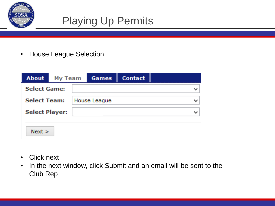

• House League Selection

| <b>About</b> My Team  |  | Games        | <b>Contact</b> |       |
|-----------------------|--|--------------|----------------|-------|
| <b>Select Game:</b>   |  |              |                |       |
| <b>Select Team:</b>   |  | House League |                | lin a |
| <b>Select Player:</b> |  |              |                | h d   |
|                       |  |              |                |       |



- Click next
- In the next window, click Submit and an email will be sent to the Club Rep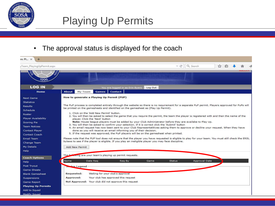

• The approval status is displayed for the coach

| $m:$ Pl $\times$                                                                                                                                                                                                                 |                                                                                                                                                                                                                                                                                                                                                                                                                                                                                                                                                                                                                                                                                                                                                                                                                                                                                                                                                                                                                                                                                                                                                                                                                                                                                                                 |
|----------------------------------------------------------------------------------------------------------------------------------------------------------------------------------------------------------------------------------|-----------------------------------------------------------------------------------------------------------------------------------------------------------------------------------------------------------------------------------------------------------------------------------------------------------------------------------------------------------------------------------------------------------------------------------------------------------------------------------------------------------------------------------------------------------------------------------------------------------------------------------------------------------------------------------------------------------------------------------------------------------------------------------------------------------------------------------------------------------------------------------------------------------------------------------------------------------------------------------------------------------------------------------------------------------------------------------------------------------------------------------------------------------------------------------------------------------------------------------------------------------------------------------------------------------------|
| yTeam_PlayingUpPermit.aspx                                                                                                                                                                                                       | Q Search<br>$\vee$ $\in$                                                                                                                                                                                                                                                                                                                                                                                                                                                                                                                                                                                                                                                                                                                                                                                                                                                                                                                                                                                                                                                                                                                                                                                                                                                                                        |
| 7996                                                                                                                                                                                                                             |                                                                                                                                                                                                                                                                                                                                                                                                                                                                                                                                                                                                                                                                                                                                                                                                                                                                                                                                                                                                                                                                                                                                                                                                                                                                                                                 |
| <b>LOG IN</b>                                                                                                                                                                                                                    | You are logged in as Erin Byers<br>Log Out                                                                                                                                                                                                                                                                                                                                                                                                                                                                                                                                                                                                                                                                                                                                                                                                                                                                                                                                                                                                                                                                                                                                                                                                                                                                      |
| Home                                                                                                                                                                                                                             | <b>Contact</b><br><b>About</b><br>My Team<br><b>Games</b>                                                                                                                                                                                                                                                                                                                                                                                                                                                                                                                                                                                                                                                                                                                                                                                                                                                                                                                                                                                                                                                                                                                                                                                                                                                       |
| Next Game<br><b>Statistics</b><br><b>Results</b><br>Schedule<br>Roster<br><b>Player Availability</b><br>Scoring Pie<br><b>Team Notices</b><br>Contact Player<br>Contact Coach<br>Email Team<br>Change Team<br>My Details<br>Help | How to generate a Playing Up Permit (PUP)<br>The PuP process is completed entirely through the website so there is no requirement for a separate PuP permit. Players approved for PuPs will<br>be printed on the gamesheets and identified on the gamesheet as (Play Up Permit).<br>1. Click on the 'Add New Permit' button.<br>2. You will then be asked to select the game that you require the permit, the team the player is registered with and then the name of the<br>player. Click the 'Next' button<br>Note: House league players must be added by your Club Administrator before they are availabe to Play Up.<br>3. You will then be asked to confirm your selection. If it is correct click the 'Submit' button<br>4. An email request has now been sent to your Club Representatitives asking them to approve or decline your request. When they have<br>done so you will receive an email informing you of their decision.<br>5. If the request was approved, the PuP players will be on the gamesheet when printed.<br>Please note that the PUP tool does not ensure that the player you have requested is eligible to play for your team. You must still check the ERSL<br>bylaws to see if the player is eligible. If you play an ineligible player you may face discipline.<br>Add New Permit |
| <b>Coach Options</b><br>Help:<br>Post Tryout<br>Game Sheets<br><b>Blank Gamesheet</b><br>Suspensions<br>Game Report<br><b>Playing Up Permits</b>                                                                                 | owing are your team's playing up permit requests.<br>The f<br>Name<br>Date Reg<br>Reg By<br>Game<br>Approval Date<br><b>Status</b><br><b>Actus</b> Legend<br>Waiting for your club's approval<br>Requested:<br>Your club has approved this request<br>Approved:<br>Not Approved: Your club did not approve this request                                                                                                                                                                                                                                                                                                                                                                                                                                                                                                                                                                                                                                                                                                                                                                                                                                                                                                                                                                                         |
| Add to Squad<br>Modify Souad                                                                                                                                                                                                     |                                                                                                                                                                                                                                                                                                                                                                                                                                                                                                                                                                                                                                                                                                                                                                                                                                                                                                                                                                                                                                                                                                                                                                                                                                                                                                                 |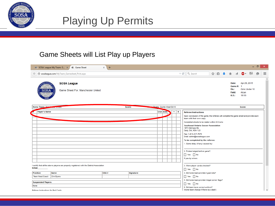

#### Game Sheets will List Play up Players

| $\Box$<br>н.<br>SOSA League: My Team: G X /<br><b>卷 Game Sheet</b><br>$\times$<br>$\ddot{}$ |                                                                                            |        |           |         |                        |            |  |                                                                                                                                                                                                                                                                                                                                                                                                                                                                                                            |                                                       | $\propto$                                        |   |                     |
|---------------------------------------------------------------------------------------------|--------------------------------------------------------------------------------------------|--------|-----------|---------|------------------------|------------|--|------------------------------------------------------------------------------------------------------------------------------------------------------------------------------------------------------------------------------------------------------------------------------------------------------------------------------------------------------------------------------------------------------------------------------------------------------------------------------------------------------------|-------------------------------------------------------|--------------------------------------------------|---|---------------------|
|                                                                                             | sosaleague.com/MyTeam_Gamesheet_Print.aspx                                                 |        |           |         |                        |            |  | $\nabla \mathcal{C}$ Q, Search<br>☆自→ 俞                                                                                                                                                                                                                                                                                                                                                                                                                                                                    | $\overline{\mathcal{A}}$                              | AB                                               | Θ | $\equiv$            |
| SOS∌                                                                                        | <b>SOSA League</b><br>Game Sheet For: Manchester United                                    |        |           |         |                        |            |  |                                                                                                                                                                                                                                                                                                                                                                                                                                                                                                            | Date:<br>Game #: 1<br>Div.:<br>Field:<br><b>K.O.:</b> | Apr 29, 2015<br>Girls Under 10<br>Alcan<br>18:00 |   | $\hat{\phantom{a}}$ |
| Home Team: Man                                                                              | <b>ALCOHOL: USES</b>                                                                       | Score: |           |         | Team: Quinte West GU10 |            |  |                                                                                                                                                                                                                                                                                                                                                                                                                                                                                                            |                                                       | Score:                                           |   |                     |
| Player's Name                                                                               |                                                                                            |        |           | OSA DOB |                        | $Y \mid R$ |  | <b>Referee Instructions</b><br>Upon conclusion of the game, the referee will complete the game sheet and provide each<br>team with their own copy.<br>Completed sheets to be mailed within 24 hrs to:<br><b>Southeast Ontario Soccer Association</b><br>1973 Old Carp Rd<br>Carp, Ont, K0A 1L0<br>Fax: 1-613-317-7575<br>Email: admin@sosaleague.com<br>To be completed by the referee:<br>1. Game delay (if any) caused by:<br>2. Protest lodged before game?:<br>$\Box$ Yes $\Box$ No<br>If yes by whom: |                                                       |                                                  |   |                     |
| <b>Initial:</b>                                                                             | I certify that all the above players are properly registered with the District Association |        |           |         |                        |            |  | 3. Were player cards checked?<br>$\Box$ Yes $\Box$ No                                                                                                                                                                                                                                                                                                                                                                                                                                                      |                                                       |                                                  |   |                     |
| <b>Position</b>                                                                             | <b>Name</b>                                                                                | OSA#   | Signature |         |                        |            |  | 4. Did home team provide 2 goal nets?                                                                                                                                                                                                                                                                                                                                                                                                                                                                      |                                                       |                                                  |   |                     |
| <b>Team Head Coach</b>                                                                      | <b>Erin Byers</b>                                                                          |        |           |         |                        |            |  | Yes No<br>5. Did home team provide 4 legal corner flags?                                                                                                                                                                                                                                                                                                                                                                                                                                                   |                                                       |                                                  |   |                     |
| <b>Suspended Players</b>                                                                    |                                                                                            |        |           |         |                        |            |  | Yes No                                                                                                                                                                                                                                                                                                                                                                                                                                                                                                     |                                                       |                                                  |   |                     |
| None                                                                                        |                                                                                            |        |           |         |                        |            |  | 6. Did team have correct uniform?                                                                                                                                                                                                                                                                                                                                                                                                                                                                          |                                                       |                                                  |   |                     |
| (home team change if there is a clash):<br><b>Refreee Instructions for Red Cards</b>        |                                                                                            |        |           |         |                        |            |  |                                                                                                                                                                                                                                                                                                                                                                                                                                                                                                            |                                                       |                                                  |   |                     |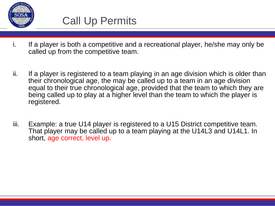

- i. If a player is both a competitive and a recreational player, he/she may only be called up from the competitive team.
- ii. If a player is registered to a team playing in an age division which is older than their chronological age, the may be called up to a team in an age division equal to their true chronological age, provided that the team to which they are being called up to play at a higher level than the team to which the player is registered.
- iii. Example: a true U14 player is registered to a U15 District competitive team. That player may be called up to a team playing at the U14L3 and U14L1. In short, age correct, level up.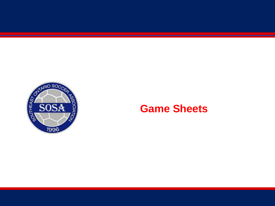

#### **Game Sheets**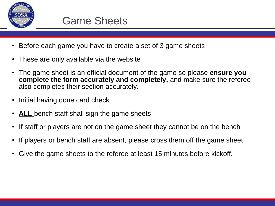

- Before each game you have to create a set of 3 game sheets
- These are only available via the website
- The game sheet is an official document of the game so please **ensure you complete the form accurately and completely,** and make sure the referee also completes their section accurately.
- Initial having done card check
- **ALL** bench staff shall sign the game sheets
- If staff or players are not on the game sheet they cannot be on the bench
- If players or bench staff are absent, please cross them off the game sheet
- Give the game sheets to the referee at least 15 minutes before kickoff.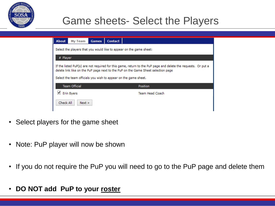

#### Game sheets- Select the Players

| <b>About</b>                                                                                                                                                                                                                                                          | My Team                                                             | <b>Games</b> | <b>Contact</b> |          |  |  |  |  |  |  |
|-----------------------------------------------------------------------------------------------------------------------------------------------------------------------------------------------------------------------------------------------------------------------|---------------------------------------------------------------------|--------------|----------------|----------|--|--|--|--|--|--|
|                                                                                                                                                                                                                                                                       | Select the players that you would like to appear on the game sheet: |              |                |          |  |  |  |  |  |  |
| # Player                                                                                                                                                                                                                                                              |                                                                     |              |                |          |  |  |  |  |  |  |
| If the listed PuP(s) are not required for this game, return to the PuP page and delete the requests. Or put a<br>delete link like on the PuP page next to the PuP on the Game Sheet selection page<br>Select the team officials you wish to appear on the game sheet. |                                                                     |              |                |          |  |  |  |  |  |  |
|                                                                                                                                                                                                                                                                       | <b>Team Official</b>                                                |              |                | Position |  |  |  |  |  |  |
| √<br><b>Erin Byers</b><br><b>Team Head Coach</b>                                                                                                                                                                                                                      |                                                                     |              |                |          |  |  |  |  |  |  |
|                                                                                                                                                                                                                                                                       | Check All<br>Next >                                                 |              |                |          |  |  |  |  |  |  |

- Select players for the game sheet
- Note: PuP player will now be shown
- If you do not require the PuP you will need to go to the PuP page and delete them
- **DO NOT add PuP to your roster**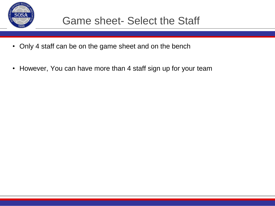

- Only 4 staff can be on the game sheet and on the bench
- However, You can have more than 4 staff sign up for your team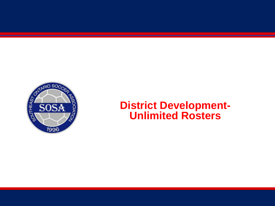

#### **District Development-Unlimited Rosters**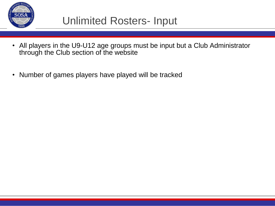

#### Unlimited Rosters- Input

- All players in the U9-U12 age groups must be input but a Club Administrator through the Club section of the website
- Number of games players have played will be tracked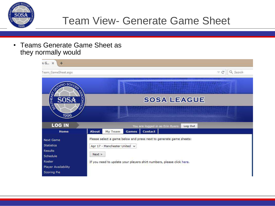

#### Team View- Generate Game Sheet

• Teams Generate Game Sheet as they normally would

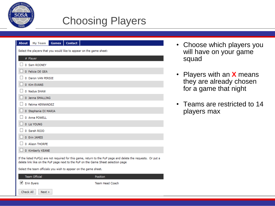

✔ Erin Byers

 $Next$ 

Check All

#### Choosing Players

| <b>About</b><br><b>Contact</b><br>My Team<br><b>Games</b>                                                                                                                                          |  |  |  |  |  |  |  |  |
|----------------------------------------------------------------------------------------------------------------------------------------------------------------------------------------------------|--|--|--|--|--|--|--|--|
| Select the players that you would like to appear on the game sheet:                                                                                                                                |  |  |  |  |  |  |  |  |
| # Player                                                                                                                                                                                           |  |  |  |  |  |  |  |  |
| 0 Sam ROONEY                                                                                                                                                                                       |  |  |  |  |  |  |  |  |
| 0 Felicia DE GEA                                                                                                                                                                                   |  |  |  |  |  |  |  |  |
| 0 Daron VAN PERSIE                                                                                                                                                                                 |  |  |  |  |  |  |  |  |
| 0 Kim EVANS                                                                                                                                                                                        |  |  |  |  |  |  |  |  |
| 0 Nadya SHAW                                                                                                                                                                                       |  |  |  |  |  |  |  |  |
| 0 Jenna SMALLING                                                                                                                                                                                   |  |  |  |  |  |  |  |  |
| 0 Fatima HERNANDEZ                                                                                                                                                                                 |  |  |  |  |  |  |  |  |
| 0 Stephanie DI MARIA                                                                                                                                                                               |  |  |  |  |  |  |  |  |
| 0 Anna POWELL                                                                                                                                                                                      |  |  |  |  |  |  |  |  |
| 0 Liz YOUNG                                                                                                                                                                                        |  |  |  |  |  |  |  |  |
| 0 Sarah ROJO                                                                                                                                                                                       |  |  |  |  |  |  |  |  |
| 0 Erin JAMES                                                                                                                                                                                       |  |  |  |  |  |  |  |  |
| 0 Alison THORPE                                                                                                                                                                                    |  |  |  |  |  |  |  |  |
| 0 Kimberly KEANE                                                                                                                                                                                   |  |  |  |  |  |  |  |  |
| If the listed PuP(s) are not required for this game, return to the PuP page and delete the requests. Or put a<br>delete link like on the PuP page next to the PuP on the Game Sheet selection page |  |  |  |  |  |  |  |  |
| Select the team officials you wish to appear on the game sheet.                                                                                                                                    |  |  |  |  |  |  |  |  |
| <b>Team Official</b><br>Position                                                                                                                                                                   |  |  |  |  |  |  |  |  |

**Team Head Coach** 

- Choose which players you will have on your game squad
- Players with an **X** means they are already chosen for a game that night
- Teams are restricted to 14 players max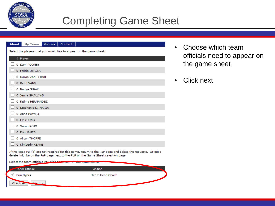

#### Completing Game Sheet

| <b>Contact</b><br><b>About</b><br><b>My Team</b><br><b>Games</b>                                                                                                                                   |
|----------------------------------------------------------------------------------------------------------------------------------------------------------------------------------------------------|
| Select the players that you would like to appear on the game sheet:                                                                                                                                |
| # Player                                                                                                                                                                                           |
| 0 Sam ROONEY                                                                                                                                                                                       |
| 0 Felicia DE GEA                                                                                                                                                                                   |
| 0 Daron VAN PERSIE                                                                                                                                                                                 |
| 0 Kim EVANS                                                                                                                                                                                        |
| 0 Nadya SHAW                                                                                                                                                                                       |
| 0 Jenna SMALLING                                                                                                                                                                                   |
| 0 Fatima HERNANDEZ                                                                                                                                                                                 |
| 0 Stephanie DI MARIA                                                                                                                                                                               |
| 0 Anna POWELL                                                                                                                                                                                      |
| 0 Liz YOUNG                                                                                                                                                                                        |
| 0 Sarah ROJO                                                                                                                                                                                       |
| 0 Erin JAMES                                                                                                                                                                                       |
| 0 Alison THORPE                                                                                                                                                                                    |
| 0 Kimberly KEANE                                                                                                                                                                                   |
| If the listed PuP(s) are not required for this game, return to the PuP page and delete the requests. Or put a<br>delete link like on the PuP page next to the PuP on the Game Sheet selection page |
| Select the team officials you wish to<br><u> Andrew Miller (1988) et al. 1999 et al.</u>                                                                                                           |
| <b>Team Official</b><br>Position                                                                                                                                                                   |
| └ Erin Byers<br><b>Team Head Coach</b>                                                                                                                                                             |
| Check Au<br>$M$ ext >                                                                                                                                                                              |

- Choose which team officials need to appear on the game sheet
- **Click next**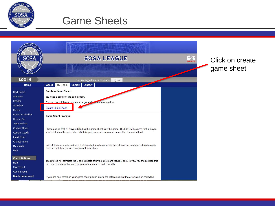

#### Game Sheets

| OUTHEAS                | <b>SOSA LEAGUE</b>                                                                                                                                                               |
|------------------------|----------------------------------------------------------------------------------------------------------------------------------------------------------------------------------|
| 7996                   |                                                                                                                                                                                  |
| <b>LOG IN</b>          | You are logged in as Erin Byers<br>Log Out                                                                                                                                       |
| Home                   | About<br><b>Contact</b><br>My Team<br><b>Games</b>                                                                                                                               |
| <b>Next Game</b>       | <b>Create a Game Sheet</b>                                                                                                                                                       |
| <b>Statistics</b>      | You need 3 copies of the game sheet.                                                                                                                                             |
| Results                | Click on the link below to open up a game shout in a new window.                                                                                                                 |
| Schedule               |                                                                                                                                                                                  |
| Roster                 | <b>Create Game Sheet</b>                                                                                                                                                         |
| Player Availability    | <b>Game Sheet Process:</b>                                                                                                                                                       |
| Scoring Pie            |                                                                                                                                                                                  |
| <b>Team Notices</b>    |                                                                                                                                                                                  |
| Contact Player         | Please ensure that all players listed on the game sheet play the game. The ERSL will assume that a player                                                                        |
| Contact Coach          | who is listed on the game sheet did take part so scratch a players name if he does not attend.                                                                                   |
| Email Team             |                                                                                                                                                                                  |
| Change Team            |                                                                                                                                                                                  |
| My Details             | Sign all 3 game sheets and give 2 of them to the referee before kick off and the third one to the opposing<br>team so that they can carry out a card inspection.                 |
| Help                   |                                                                                                                                                                                  |
| <b>Coach Options</b>   |                                                                                                                                                                                  |
| Help                   | The referee will complete the 2 game sheets after the match and return 1 copy to you. You should keep this<br>for your records so that you can complete a game report correctly. |
| Post Tryout            |                                                                                                                                                                                  |
| Game Sheets            |                                                                                                                                                                                  |
| <b>Blank Gamesheet</b> | If you see any errors on your game sheet please inform the referee so that the errors can be corrected                                                                           |

Click on create game sheet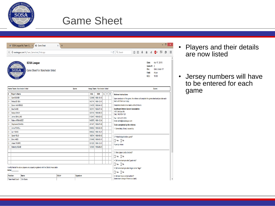

#### Game Sheet

|                                      | SOSA League: My Team: G X<br><b>卷 Game Sheet</b>                                           | $\mathsf{X}$<br>$\ddot{}$ |                  |            |                              |              |     |                                             |                                                                                                    | - 8 | $\mathsf{x}$ |  |  |  |  |
|--------------------------------------|--------------------------------------------------------------------------------------------|---------------------------|------------------|------------|------------------------------|--------------|-----|---------------------------------------------|----------------------------------------------------------------------------------------------------|-----|--------------|--|--|--|--|
| €                                    | Sosaleague.com/MyTeam_Gamesheet_Print.aspx                                                 |                           |                  |            |                              |              |     |                                             | ☆ 自 → 合<br>Q Search<br>49 -<br>$\overline{\mathcal{A}}$<br>⊽ C                                     |     | $\equiv$     |  |  |  |  |
|                                      | <b>SOSA League</b><br>Game Sheet For: Manchester United                                    |                           |                  |            |                              |              |     |                                             | Apr 17, 2015<br>Date:<br>Game #: 2<br>Girls Under 17<br>Div.:<br>Field:<br>Alcan<br>K.O.:<br>18:00 |     |              |  |  |  |  |
| Home Team: Manchester United         |                                                                                            |                           | Score:           |            | Away Team: Manchester United |              |     |                                             | Score:                                                                                             |     |              |  |  |  |  |
| <b>Player's Name</b>                 |                                                                                            |                           |                  | <b>OSA</b> | DOB                          | $\mathsf{G}$ | ΙY. | ${\sf R}$                                   | <b>Referee Instructions</b>                                                                        |     |              |  |  |  |  |
| Sam ROONEY<br>0                      |                                                                                            |                           |                  | 123456     | 1998-10-10                   |              |     |                                             | Upon conclusion of the game, the referee will complete the game sheet and provide each             |     |              |  |  |  |  |
| Felicia DE GEA<br>$\mathbf{0}$       |                                                                                            |                           |                  | 542174     | 1998-12-01                   |              |     |                                             | team with their own copy.                                                                          |     |              |  |  |  |  |
| $\mathbf 0$                          | Daron VAN PERSIE                                                                           |                           |                  |            | 1998-04-10<br>214578         |              |     |                                             | Completed sheets to be mailed within 24 hrs to:                                                    |     |              |  |  |  |  |
| $\mathbf{0}$<br><b>Kim EVANS</b>     |                                                                                            |                           |                  | 352151     | 1998-07-14                   |              |     | <b>Southeast Ontario Soccer Association</b> |                                                                                                    |     |              |  |  |  |  |
| 0<br>Nadya SHAW                      |                                                                                            |                           |                  | 425154     | 1998-06-03                   |              |     |                                             | 1973 Old Carp Rd<br>Carp, Ont, K0A 1L0                                                             |     |              |  |  |  |  |
| 0<br>Jenna SMALLING                  |                                                                                            |                           |                  | 512647     | 1998-02-02                   |              |     |                                             | Fax: 1-613-317-7575                                                                                |     |              |  |  |  |  |
| <b>Fatima HERNANDEZ</b><br>0         |                                                                                            |                           |                  | 545875     | 1998-12-24                   |              |     |                                             | Email: admin@sosaleague.com                                                                        |     |              |  |  |  |  |
| 0<br>Stephanie DI MARIA              |                                                                                            |                           |                  | 451147     | 1998-07-06                   |              |     |                                             | To be completed by the referee:                                                                    |     |              |  |  |  |  |
| $\mathbf{0}$<br>Anna POWELL          |                                                                                            |                           |                  | 659852     | 1998-02-09                   |              |     |                                             | 1. Game delay (if any) caused by:                                                                  |     |              |  |  |  |  |
| $\mathbf{0}$<br><b>Liz YOUNG</b>     |                                                                                            |                           |                  | 659522     | 1998-10-21                   |              |     |                                             |                                                                                                    |     |              |  |  |  |  |
| $\mathbf{0}$<br>Sarah ROJO           |                                                                                            |                           |                  | 198754     | 1998-05-05                   |              |     |                                             | 2. Protest lodged before game?:                                                                    |     |              |  |  |  |  |
| $\mathbf{0}$<br>Erin JAMES           |                                                                                            |                           |                  | 215469     | 1998-03-31                   |              |     |                                             | $\Box$ Yes $\Box$ No                                                                               |     |              |  |  |  |  |
| $\mathbf{0}$<br><b>Alison THORPE</b> |                                                                                            |                           |                  | 521225     | 1998-12-01                   |              |     |                                             | If yes by whom:                                                                                    |     |              |  |  |  |  |
| 0<br><b>Kimberly KEANE</b>           |                                                                                            |                           |                  | 125365     | 1998-09-05                   |              |     |                                             |                                                                                                    |     |              |  |  |  |  |
|                                      |                                                                                            |                           |                  |            |                              |              |     |                                             |                                                                                                    |     |              |  |  |  |  |
|                                      |                                                                                            |                           |                  |            |                              |              |     |                                             | 3. Were player cards checked?                                                                      |     |              |  |  |  |  |
|                                      |                                                                                            |                           |                  |            |                              |              |     |                                             | Yes No                                                                                             |     |              |  |  |  |  |
|                                      |                                                                                            |                           |                  |            |                              |              |     |                                             | 4. Did home team provide 2 goal nets?                                                              |     |              |  |  |  |  |
|                                      |                                                                                            |                           |                  |            |                              |              |     |                                             |                                                                                                    |     |              |  |  |  |  |
|                                      |                                                                                            |                           |                  |            |                              |              |     |                                             | $\sqrt{}$ Yes $\sqrt{}$ No                                                                         |     |              |  |  |  |  |
|                                      | I certify that all the above players are properly registered with the District Association |                           |                  |            |                              |              |     |                                             | 5. Did home team provide 4 legal corner flags?                                                     |     |              |  |  |  |  |
| <b>Initial:</b><br><b>Position</b>   | Name                                                                                       | OSA#                      | <b>Signature</b> |            |                              |              |     |                                             | $\Box$ Yes $\Box$ No<br>6. Did team have correct uniform?                                          |     |              |  |  |  |  |

- Players and their details are now listed
- Jersey numbers will have to be entered for each game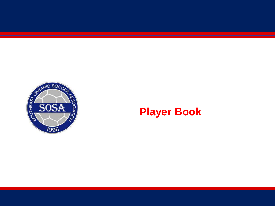

#### **Player Book**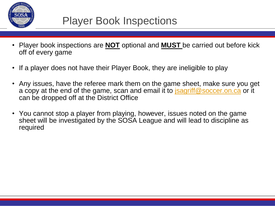

#### Player Book Inspections

- Player book inspections are **NOT** optional and **MUST** be carried out before kick off of every game
- If a player does not have their Player Book, they are ineligible to play
- Any issues, have the referee mark them on the game sheet, make sure you get a copy at the end of the game, scan and email it to *isagriff@soccer.on.ca* or it can be dropped off at the District Office
- You cannot stop a player from playing, however, issues noted on the game sheet will be investigated by the SOSA League and will lead to discipline as required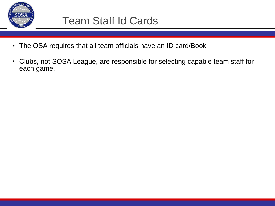

#### Team Staff Id Cards

- The OSA requires that all team officials have an ID card/Book
- Clubs, not SOSA League, are responsible for selecting capable team staff for each game.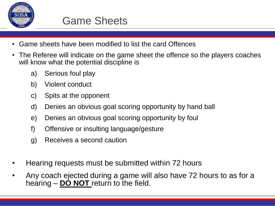

- Game sheets have been modified to list the card Offences
- The Referee will indicate on the game sheet the offence so the players coaches will know what the potential discipline is
	- a) Serious foul play
	- b) Violent conduct
	- c) Spits at the opponent
	- d) Denies an obvious goal scoring opportunity by hand ball
	- e) Denies an obvious goal scoring opportunity by foul
	- f) Offensive or insulting language/gesture
	- g) Receives a second caution
- Hearing requests must be submitted within 72 hours
- Any coach ejected during a game will also have 72 hours to as for a hearing – **DO NOT** return to the field.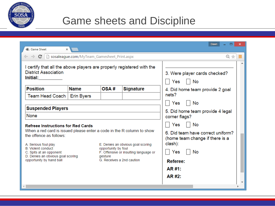

#### Game sheets and Discipline

| Dawn<br>38. Game Sheet<br>×                                                                                                                                                                                                                                                                                                            |                   |                                                             |                                                                            |                                                                                                                                           |  |  |  |  |  |
|----------------------------------------------------------------------------------------------------------------------------------------------------------------------------------------------------------------------------------------------------------------------------------------------------------------------------------------|-------------------|-------------------------------------------------------------|----------------------------------------------------------------------------|-------------------------------------------------------------------------------------------------------------------------------------------|--|--|--|--|--|
| $\leftarrow \rightarrow \mathbf{C} \mid \Box$ sosaleague.com/MyTeam_Gamesheet_Print.aspx                                                                                                                                                                                                                                               |                   | Ξ                                                           |                                                                            |                                                                                                                                           |  |  |  |  |  |
| I certify that all the above players are properly registered with the<br><b>District Association</b><br>Initial: the control of the control of the control of the control of the control of the control of the control of the control of the control of the control of the control of the control of the control of the control of the |                   | 3. Were player cards checked?<br>Yes<br>No                  |                                                                            |                                                                                                                                           |  |  |  |  |  |
| <b>Position</b>                                                                                                                                                                                                                                                                                                                        | <b>Name</b>       | OSA#                                                        | <b>Signature</b>                                                           | 4. Did home team provide 2 goal                                                                                                           |  |  |  |  |  |
| Team Head Coach                                                                                                                                                                                                                                                                                                                        | <b>Erin Byers</b> |                                                             |                                                                            | nets?<br>No<br>Yes                                                                                                                        |  |  |  |  |  |
| <b>Suspended Players</b><br>None                                                                                                                                                                                                                                                                                                       |                   | 5. Did home team provide 4 legal<br>corner flags?           |                                                                            |                                                                                                                                           |  |  |  |  |  |
| <b>Refreee Instructions for Red Cards</b><br>When a red card is issued please enter a code in the R column to show<br>the offence as follows:<br>A. Serious foul play<br><b>B.</b> Violent conduct<br>C. Spits at an opponent<br>D. Denies an obvious goal scoring<br>opportunity by hand ball                                         |                   | opportunity by foul<br>gesture<br>G. Receives a 2nd caution | E. Denies an obvious goal scoring<br>F. Offensive or insulting language or | Yes<br>No<br>6. Did team have correct uniform?<br>(home team change if there is a<br>clash):<br>Yes<br>No<br>Referee:<br>AR #1:<br>AR #2: |  |  |  |  |  |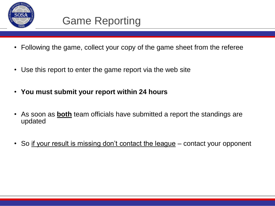

- Following the game, collect your copy of the game sheet from the referee
- Use this report to enter the game report via the web site
- **You must submit your report within 24 hours**
- As soon as **both** team officials have submitted a report the standings are updated
- So if your result is missing don't contact the league contact your opponent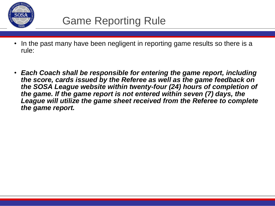

- In the past many have been negligent in reporting game results so there is a rule:
- *Each Coach shall be responsible for entering the game report, including the score, cards issued by the Referee as well as the game feedback on the SOSA League website within twenty-four (24) hours of completion of the game. If the game report is not entered within seven (7) days, the League will utilize the game sheet received from the Referee to complete the game report.*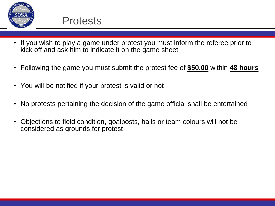

- If you wish to play a game under protest you must inform the referee prior to kick off and ask him to indicate it on the game sheet
- Following the game you must submit the protest fee of **\$50.00** within **48 hours**
- You will be notified if your protest is valid or not
- No protests pertaining the decision of the game official shall be entertained
- Objections to field condition, goalposts, balls or team colours will not be considered as grounds for protest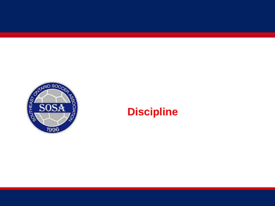

#### **Discipline**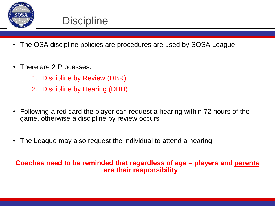

#### **Discipline**

- The OSA discipline policies are procedures are used by SOSA League
- There are 2 Processes:
	- 1. Discipline by Review (DBR)
	- 2. Discipline by Hearing (DBH)
- Following a red card the player can request a hearing within 72 hours of the game, otherwise a discipline by review occurs
- The League may also request the individual to attend a hearing

#### **Coaches need to be reminded that regardless of age – players and parents are their responsibility**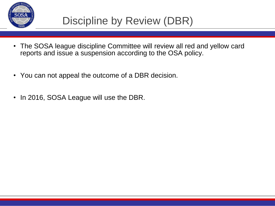

- The SOSA league discipline Committee will review all red and yellow card reports and issue a suspension according to the OSA policy.
- You can not appeal the outcome of a DBR decision.
- In 2016, SOSA League will use the DBR.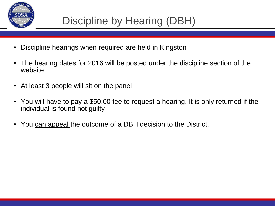

- Discipline hearings when required are held in Kingston
- The hearing dates for 2016 will be posted under the discipline section of the website
- At least 3 people will sit on the panel
- You will have to pay a \$50.00 fee to request a hearing. It is only returned if the individual is found not guilty
- You can appeal the outcome of a DBH decision to the District.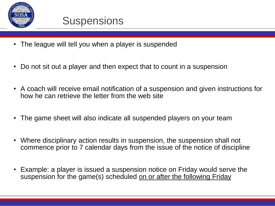

- The league will tell you when a player is suspended
- Do not sit out a player and then expect that to count in a suspension
- A coach will receive email notification of a suspension and given instructions for how he can retrieve the letter from the web site
- The game sheet will also indicate all suspended players on your team
- Where disciplinary action results in suspension, the suspension shall not commence prior to 7 calendar days from the issue of the notice of discipline
- Example: a player is issued a suspension notice on Friday would serve the suspension for the game(s) scheduled on or after the following Friday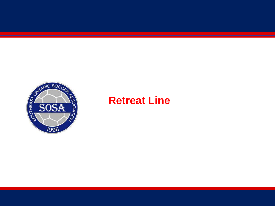

#### **Retreat Line**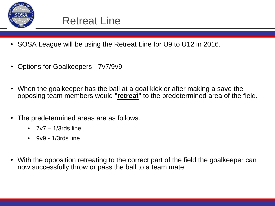

- SOSA League will be using the Retreat Line for U9 to U12 in 2016.
- Options for Goalkeepers 7v7/9v9
- When the goalkeeper has the ball at a goal kick or after making a save the opposing team members would "**retreat**" to the predetermined area of the field.
- The predetermined areas are as follows:
	- $7v7 1/3rds$  line
	- $\cdot$  9v9 1/3rds line
- With the opposition retreating to the correct part of the field the goalkeeper can now successfully throw or pass the ball to a team mate.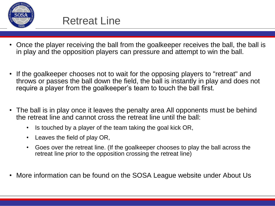

- Once the player receiving the ball from the goalkeeper receives the ball, the ball is in play and the opposition players can pressure and attempt to win the ball.
- If the goalkeeper chooses not to wait for the opposing players to "retreat" and throws or passes the ball down the field, the ball is instantly in play and does not require a player from the goalkeeper's team to touch the ball first.
- The ball is in play once it leaves the penalty area All opponents must be behind the retreat line and cannot cross the retreat line until the ball:
	- Is touched by a player of the team taking the goal kick OR,
	- Leaves the field of play OR,
	- Goes over the retreat line. (If the goalkeeper chooses to play the ball across the retreat line prior to the opposition crossing the retreat line)
- More information can be found on the SOSA League website under About Us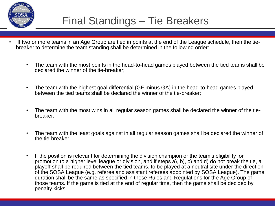

#### Final Standings – Tie Breakers

- If two or more teams in an Age Group are tied in points at the end of the League schedule, then the tiebreaker to determine the team standing shall be determined in the following order:
	- The team with the most points in the head-to-head games played between the tied teams shall be declared the winner of the tie-breaker;
	- The team with the highest goal differential (GF minus GA) in the head-to-head games played between the tied teams shall be declared the winner of the tie-breaker;
	- The team with the most wins in all regular season games shall be declared the winner of the tiebreaker;
	- The team with the least goals against in all regular season games shall be declared the winner of the tie-breaker;
	- If the position is relevant for determining the division champion or the team's eligibility for promotion to a higher level league or division, and if steps a), b), c) and d) do not break the tie, a playoff shall be required between the tied teams, to be played at a neutral site under the direction of the SOSA League (e.g. referee and assistant referees appointed by SOSA League). The game duration shall be the same as specified in these Rules and Regulations for the Age Group of those teams. If the game is tied at the end of regular time, then the game shall be decided by penalty kicks.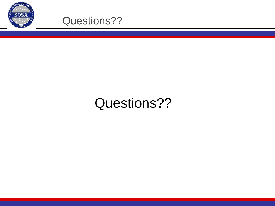



## Questions??